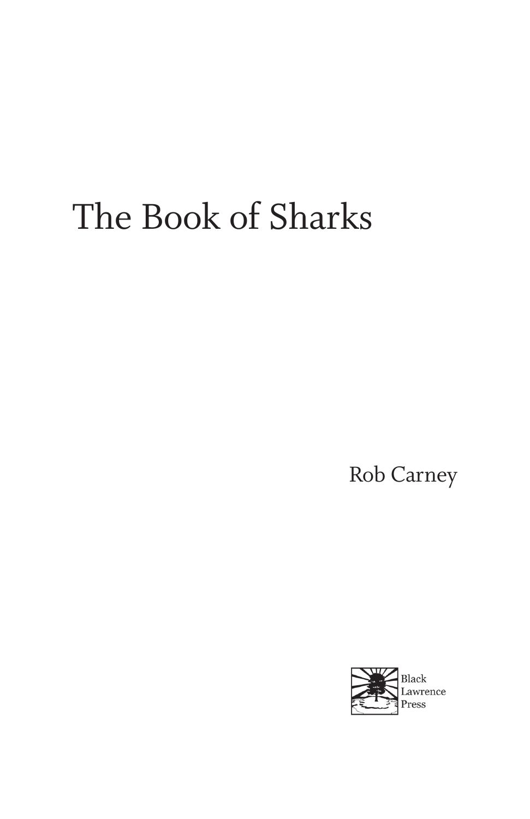# The Book of Sharks

Rob Carney

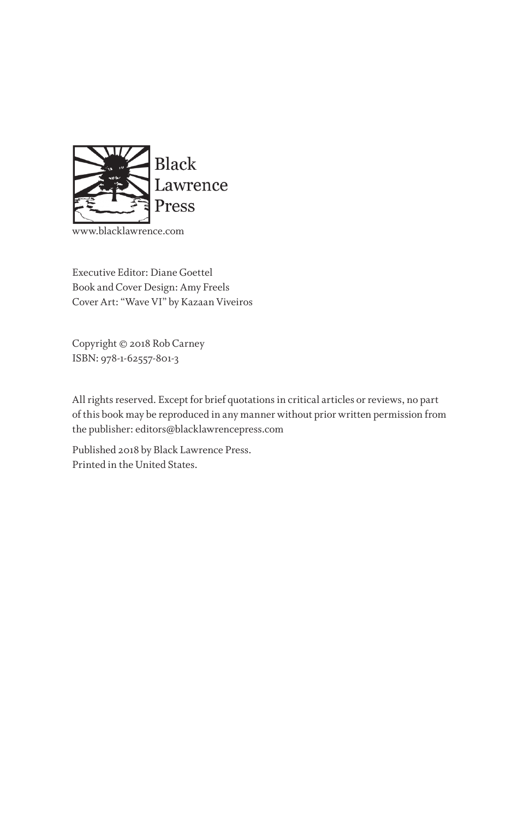

www.blacklawrence.com

Executive Editor: Diane Goettel Book and Cover Design: Amy Freels Cover Art: "Wave VI" by Kazaan Viveiros

Copyright © 2018 Rob Carney ISBN: 978-1-62557-801-3

All rights reserved. Except for brief quotations in critical articles or reviews, no part of this book may be reproduced in any manner without prior written permission from the publisher: editors@blacklawrencepress.com

Published 2018 by Black Lawrence Press. Printed in the United States.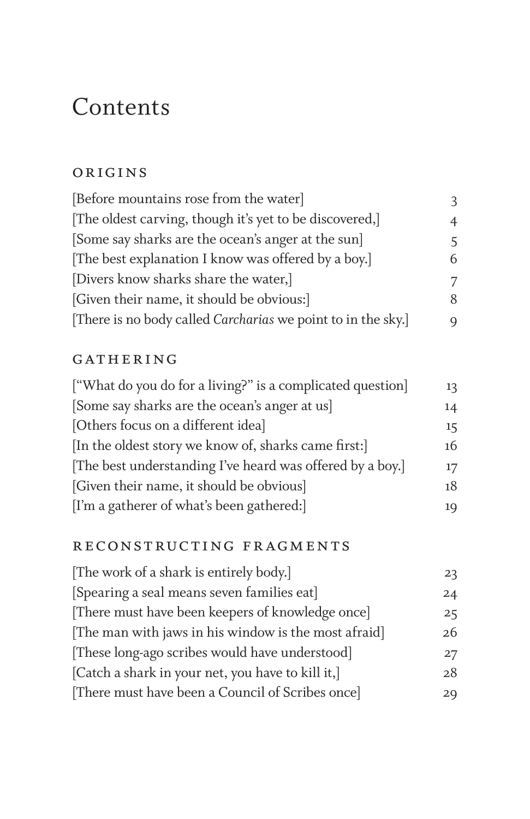## Contents

#### **ORIGINS**

| [Before mountains rose from the water]                       | 3 |
|--------------------------------------------------------------|---|
| [The oldest carving, though it's yet to be discovered,]      | 4 |
| [Some say sharks are the ocean's anger at the sun]           | 5 |
| [The best explanation I know was offered by a boy.]          | 6 |
| [Divers know sharks share the water,]                        | 7 |
| [Given their name, it should be obvious:]                    | 8 |
| [There is no body called Carcharias we point to in the sky.] | Q |

#### GATHERING

| ["What do you do for a living?" is a complicated question] | 13 |
|------------------------------------------------------------|----|
| [Some say sharks are the ocean's anger at us]              | 14 |
| [Others focus on a different idea]                         | 15 |
| [In the oldest story we know of, sharks came first:]       | 16 |
| [The best understanding I've heard was offered by a boy.]  | 17 |
| [Given their name, it should be obvious]                   | 18 |
| [I'm a gatherer of what's been gathered:]                  | 19 |

#### reconstructing fragments

| [The work of a shark is entirely body.]              | 23 |
|------------------------------------------------------|----|
| [Spearing a seal means seven families eat]           | 24 |
| [There must have been keepers of knowledge once]     | 25 |
| [The man with jaws in his window is the most afraid] | 26 |
| [These long-ago scribes would have understood]       | 27 |
| [Catch a shark in your net, you have to kill it,]    | 28 |
| [There must have been a Council of Scribes once]     | 29 |
|                                                      |    |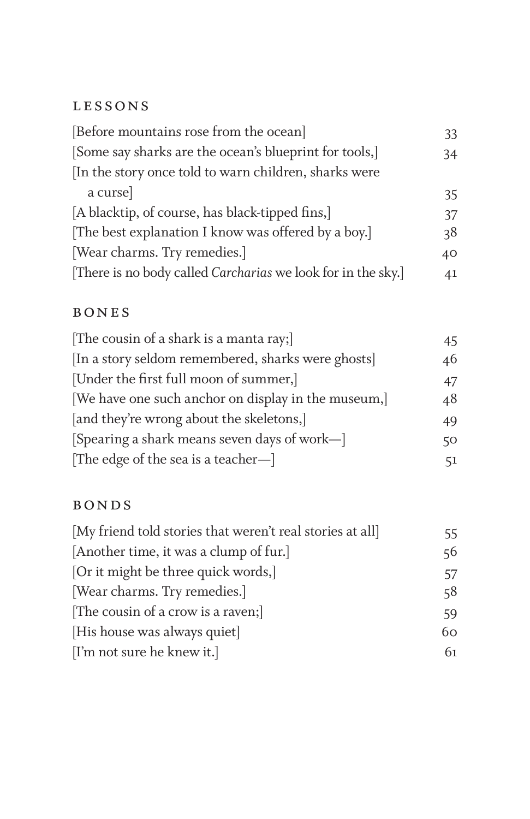#### lessons

| [Before mountains rose from the ocean]                       | 33 |
|--------------------------------------------------------------|----|
| [Some say sharks are the ocean's blueprint for tools,]       | 34 |
| In the story once told to warn children, sharks were         |    |
| a curse                                                      | 35 |
| [A blacktip, of course, has black-tipped fins,]              | 37 |
| [The best explanation I know was offered by a boy.]          | 38 |
| [Wear charms. Try remedies.]                                 | 40 |
| [There is no body called Carcharias we look for in the sky.] | 41 |

#### bones

| [The cousin of a shark is a manta ray;]             | 45 |
|-----------------------------------------------------|----|
| [In a story seldom remembered, sharks were ghosts]  | 46 |
| [Under the first full moon of summer,]              | 47 |
| [We have one such anchor on display in the museum,] | 48 |
| [and they're wrong about the skeletons,]            | 49 |
| [Spearing a shark means seven days of work-]        | 50 |
| [The edge of the sea is a teacher-]                 | 51 |

#### bonds

| 55. |
|-----|
| 56  |
| 57  |
| 58  |
| 59  |
| 60  |
| 61  |
|     |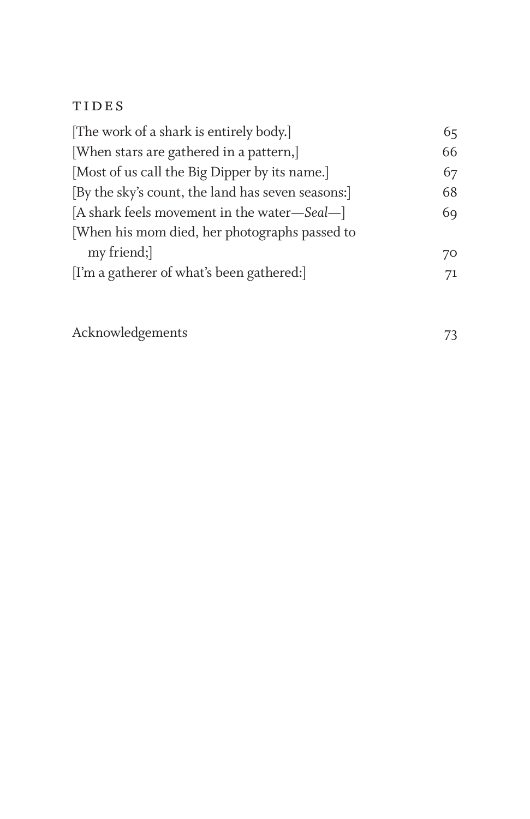### **TIDES**

| [The work of a shark is entirely body.]           | 65 |
|---------------------------------------------------|----|
| [When stars are gathered in a pattern,]           | 66 |
| [Most of us call the Big Dipper by its name.]     | 67 |
| [By the sky's count, the land has seven seasons:] | 68 |
| [A shark feels movement in the water-Seal-]       | 69 |
| [When his mom died, her photographs passed to     |    |
| my friend;                                        | 70 |
| [I'm a gatherer of what's been gathered:]         | 71 |
|                                                   |    |

Acknowledgements 73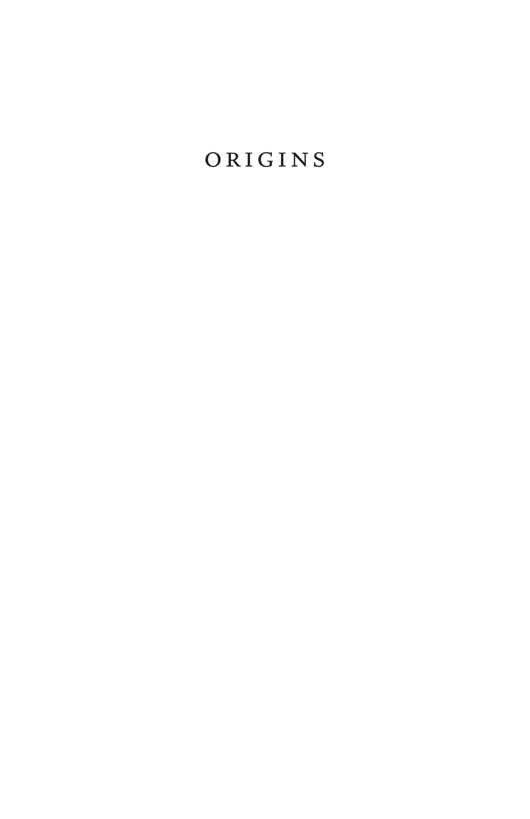### **ORIGINS**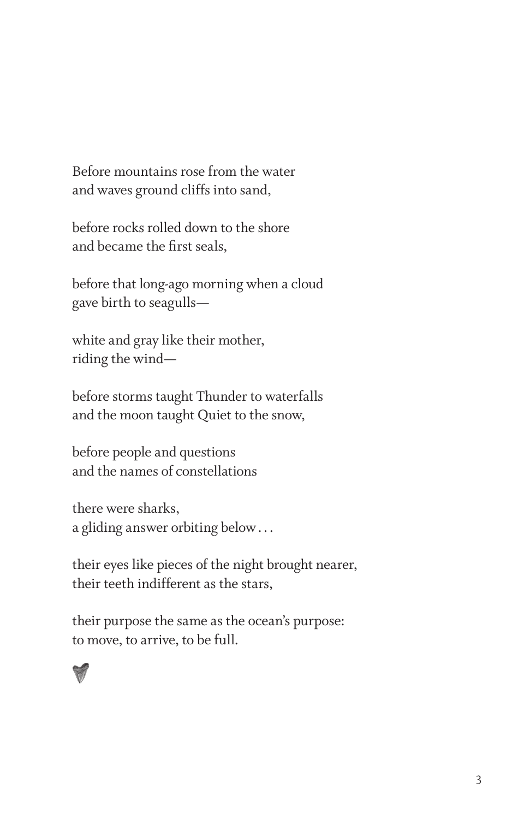Before mountains rose from the water and waves ground cliffs into sand,

before rocks rolled down to the shore and became the first seals,

before that long-ago morning when a cloud gave birth to seagulls—

white and gray like their mother, riding the wind—

before storms taught Thunder to waterfalls and the moon taught Quiet to the snow,

before people and questions and the names of constellations

there were sharks, a gliding answer orbiting below...

their eyes like pieces of the night brought nearer, their teeth indifferent as the stars,

their purpose the same as the ocean's purpose: to move, to arrive, to be full.

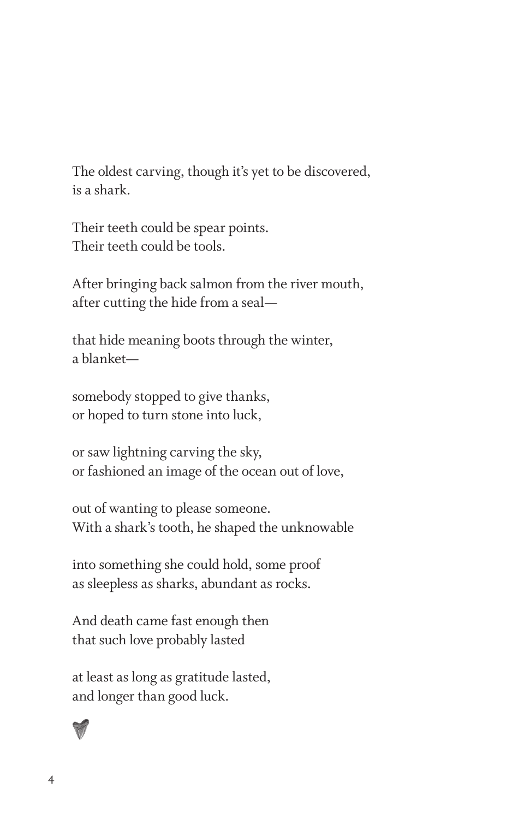The oldest carving, though it's yet to be discovered, is a shark.

Their teeth could be spear points. Their teeth could be tools.

After bringing back salmon from the river mouth, after cutting the hide from a seal—

that hide meaning boots through the winter, a blanket—

somebody stopped to give thanks, or hoped to turn stone into luck,

or saw lightning carving the sky, or fashioned an image of the ocean out of love,

out of wanting to please someone. With a shark's tooth, he shaped the unknowable

into something she could hold, some proof as sleepless as sharks, abundant as rocks.

And death came fast enough then that such love probably lasted

at least as long as gratitude lasted, and longer than good luck.

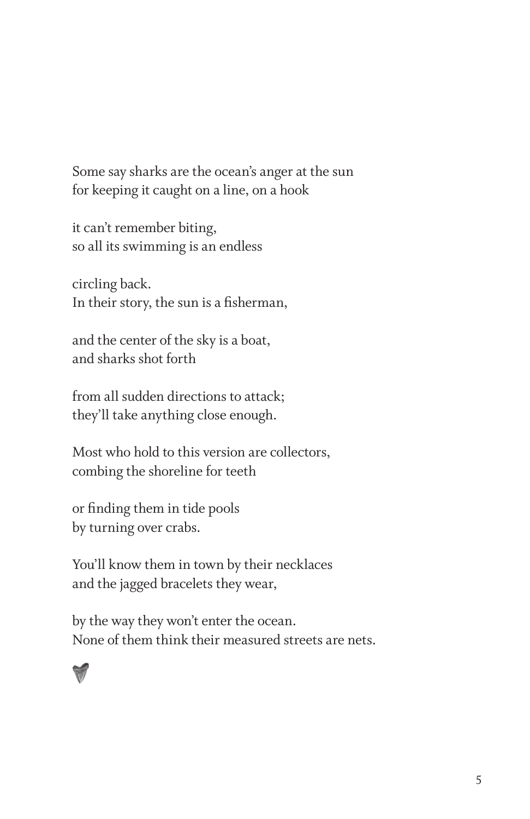Some say sharks are the ocean's anger at the sun for keeping it caught on a line, on a hook

it can't remember biting, so all its swimming is an endless

circling back. In their story, the sun is a fisherman,

and the center of the sky is a boat, and sharks shot forth

from all sudden directions to attack; they'll take anything close enough.

Most who hold to this version are collectors, combing the shoreline for teeth

or finding them in tide pools by turning over crabs.

You'll know them in town by their necklaces and the jagged bracelets they wear,

by the way they won't enter the ocean. None of them think their measured streets are nets.

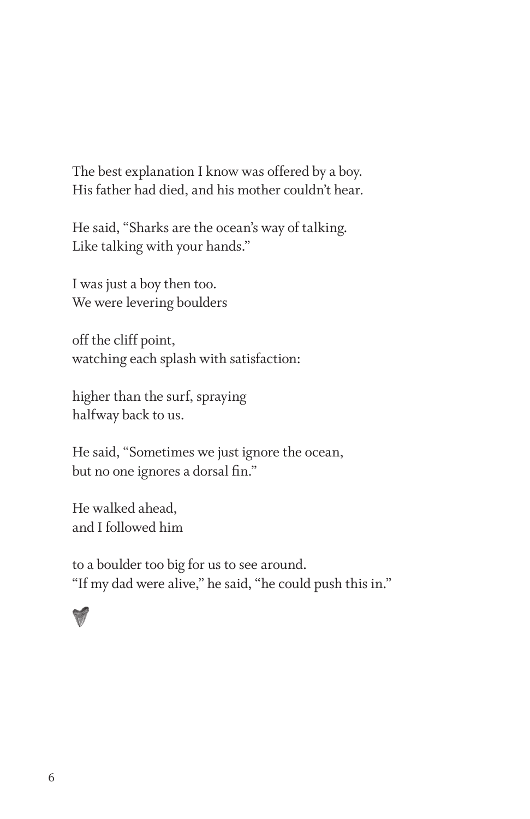The best explanation I know was offered by a boy. His father had died, and his mother couldn't hear.

He said, "Sharks are the ocean's way of talking. Like talking with your hands."

I was just a boy then too. We were levering boulders

off the cliff point, watching each splash with satisfaction:

higher than the surf, spraying halfway back to us.

He said, "Sometimes we just ignore the ocean, but no one ignores a dorsal fin."

He walked ahead, and I followed him

to a boulder too big for us to see around. "If my dad were alive," he said, "he could push this in."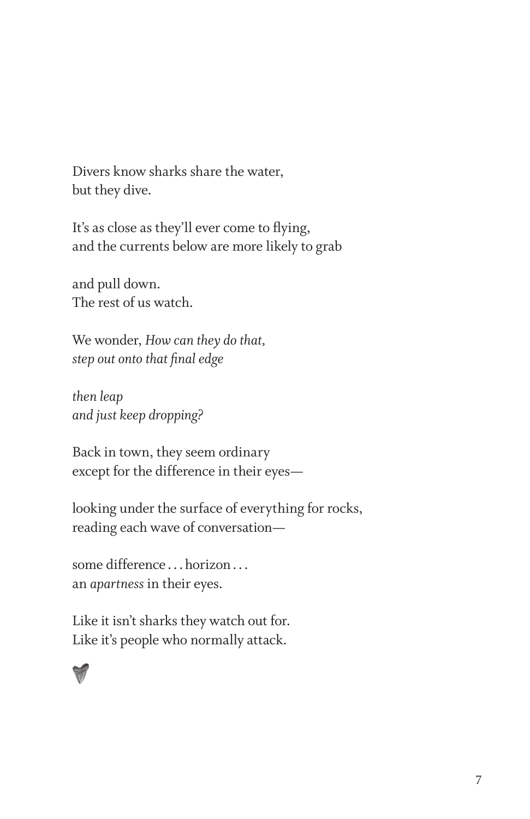Divers know sharks share the water, but they dive.

It's as close as they'll ever come to flying, and the currents below are more likely to grab

and pull down. The rest of us watch.

We wonder, *How can they do that, step out onto that final edge*

*then leap and just keep dropping?*

Back in town, they seem ordinary except for the difference in their eyes—

looking under the surface of everything for rocks, reading each wave of conversation—

some difference ...horizon... an *apartness* in their eyes.

Like it isn't sharks they watch out for. Like it's people who normally attack.

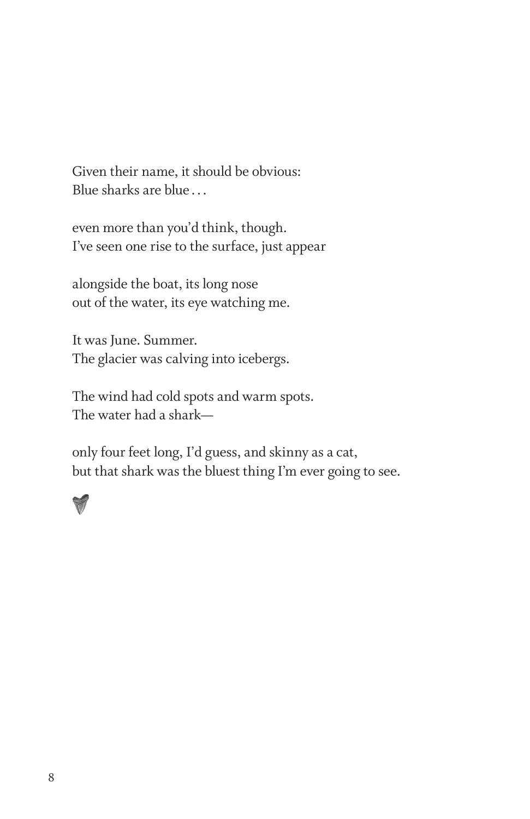Given their name, it should be obvious: Blue sharks are blue ...

even more than you'd think, though. I've seen one rise to the surface, just appear

alongside the boat, its long nose out of the water, its eye watching me.

It was June. Summer. The glacier was calving into icebergs.

The wind had cold spots and warm spots. The water had a shark—

only four feet long, I'd guess, and skinny as a cat, but that shark was the bluest thing I'm ever going to see.